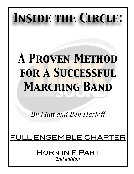# *Inside the Circle:*

# *A Proven Method for a Successful Marching Band*

*By Matt and Ben Harloff* 

## ENSEMBLE CHAP

Horn in F Part *2nd edition*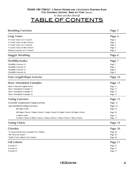## TABLE OF CONTENTS

| <b>Breathing Exercises</b>                                                     | Page 3  |
|--------------------------------------------------------------------------------|---------|
| Long Tones                                                                     | Page 4  |
| -9 Count Tones on F Concert:                                                   | Page 4  |
| -9 Count Tones on Bb Concert:                                                  | Page 4  |
| -8 Count Tones on F Concert:                                                   | Page 4  |
| -8 Count Tones on Bb Concert:                                                  | Page 5  |
| -Release Exercise on F Concert:                                                | Page 5  |
| <b>Stagger Breathing</b>                                                       | Page 6  |
| <b>Flexibility/Scales</b>                                                      | Page 7  |
| -Flexibility Exercise #1:                                                      | Page 7  |
| -Flexibility Exercise #2:                                                      | Page 7  |
| -Flexibility Exercise #3:                                                      | Page 8  |
| -Flexibility Exercise #4:                                                      | Page 9  |
|                                                                                |         |
| Note Length/Shape Exercise                                                     | Page 10 |
| <b>Show Articulation Examples</b>                                              | Page 12 |
| -Basic 8 Staccato Eighth Notes:                                                | Page 12 |
| -Show Articulation Example #1:                                                 | Page 12 |
| -Show Articulation Example #2:                                                 | Page 13 |
| -Show Articulation Example #3:                                                 | Page 13 |
| <b>Tuning Exercises</b>                                                        | Page 15 |
| -Ensemble Fundamental Tuning Exercise:                                         | Page 15 |
| -Just IntonationTuning Exercises:                                              | Page 16 |
|                                                                                |         |
| -Bb Major Scale:                                                               | Page 16 |
| -Bb Major Chord, F Major Chord, C Major Chord, Eb Major Chord, Ab Major Chord: | Page 16 |
| -G Minor Scale:                                                                | Page 17 |
| -G Minor Chord, D Minor Chord, A Minor Chord, C Minor Chord, F Minor Chord:    | Page 17 |
| <b>Tuning Charts</b>                                                           | Page 18 |
| Chorales                                                                       | Page 20 |
| -"O Sacred Head Now Wounded" by JS Bach:                                       | Page 20 |
| -"Be Thou My Vision":                                                          | Page 20 |
| -"Faith of Our Fathers" by H Hemy:                                             | Page 20 |
| <b>Full Volume</b>                                                             | Page 21 |
| -Excerpt $#1$ :                                                                | Page 21 |
| -Excerpt #2:                                                                   | Page 21 |
| -Excerpt $#3$ :                                                                |         |
|                                                                                | Page 21 |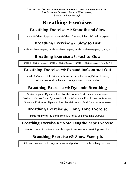## **Breathing Exercises**

## **Breathing Exercise #1: Smooth and Slow**

Inhale 8-Exhale 8(repeats), Inhale 6-Exhale 6 (repeats), Inhale 4-Exhale 4 (repeats)

## **Breathing Exercise #2: Slow to Fast**

Inhale 8-Exhale 8 (repeats), Inhale 7-Exhale 7 (repeats), Inhale 6-Exhale 6 (repeats), 5, 4, 3, 2, 1

## **Breathing Exercise #3: Fast to Slow**

Inhale 1-Exhale 1 (repeats), Inhale 2-Exhale 2 (repeats), Inhale 3-Exhale 3 (repeats), 4, 5, 6, 7, 8

## **Breathing Exercise #4: Expand In/Contract Out**

Inhale 8 Counts, Hold 10 seconds and sip small breaths, Exhale 1 count, Hiss 10 seconds, Inhale 1 Count, Exhale 1 Count, Relax

## **Breathing Exercise #5: Dynamic Breathing**

Sustain a piano Dynamic level for 4-8 counts, Rest for 4 counts (repeats) Sustain a Mezzo Forte Dynamic level for 4-8 counts, Rest for 4 counts (repeats) Sustain a Fortissimo Dynamic level for 4-8 counts, Rest for 4 counts (repeats)

## **Breathing Exercise #6: Long Tone Exercise**

Perform any of the Long Tone Exercises as a breathing exercise.

#### **Breathing Exercise #7: Note Length/Shape Exercise**

Perform any of the Note Length/Shape Exercises as a breathing exercise.

## **Breathing Exercise #8: Show Excerpts**

Choose an excerpt from your show and perform it as a breathing exercise.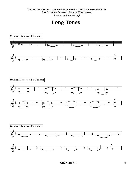*by Matt and Ben Harloff*

## **Long Tones**

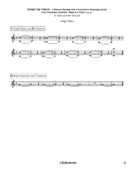*by Matt and Ben Harloff*

Long Tones

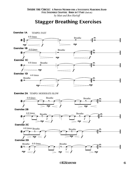## **Stagger Breathing Exercises**

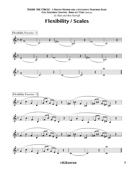*by Matt and Ben Harloff*

**Flexibility / Scales**













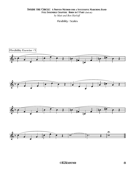*by Matt and Ben Harloff*

Flexibility / Scales

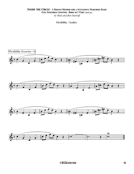*by Matt and Ben Harloff*

```
Flexibility / Scales
```
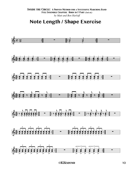## Note Length / Shape Exercise

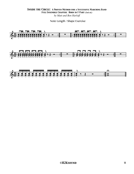#### **INSIDE THE CIRCLE: A PROVEN METHOD FOR A SUCCESSFUL MARCHING BAND** FULL ENSEMBLE CHAPTER: HORN IN F PART (2nd ed.) by Matt and Ben Harloff

Note Length / Shape Exercise

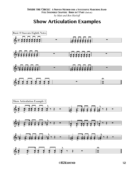## **Show Articulation Examples**

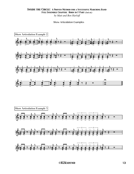#### **INSIDE THE CIRCLE: A PROVEN METHOD FOR A SUCCESSFUL MARCHING BAND** FULL ENSEMBLE CHAPTER: HORN IN F PART (2nd ed.)

by Matt and Ben Harloff

#### Show Articulation Examples

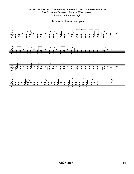#### **INSIDE THE CIRCLE: A PROVEN METHOD FOR A SUCCESSFUL MARCHING BAND** FULL ENSEMBLE CHAPTER: HORN IN F PART (2nd ed.) by Matt and Ben Harloff

**Show Articulation Examples** 

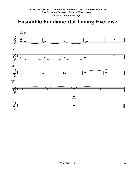## **Ensemble Fundamental Tuning Exercise**

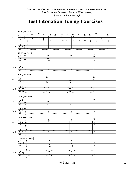## **Just Intonation Tuning Exercises**

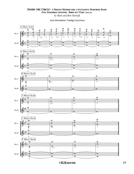*by Matt and Ben Harloff*

Just Intonation Tuning Exercises

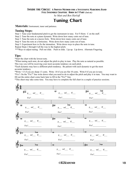#### *Inside the Circle: A Proven Method for a Successful Marching Band*

*Full Ensemble Chapter: Horn in F Part (2nd ed.)*

*by Matt and Ben Harloff*

## **Tuning Chart**

**Materials:** Instrument, tuner and patience.

#### **Tuning Steps:**

Step 1: Tune your fundamental pitch to get the instrument in tune. For F-Horn: C on the staff.

Step 2: Tune the note at a piano dynamic. Write down how many cents out of tune.

Step 3: Tune the note at a mezzo forte. Write down how many cents out of tune.

Step 4: Tune the note at a fortissimo. Write down how many cents out of tune.

Step 5: Experiment how to fix the intonation. Write down ways to place the note in tune.

Repeat Steps 2 through 4 all the way to the highest pitch.

\*\*\*Ways to adjust tuning: Pull out slide. Push in slide. Lip up. Lip down. Alternate Fingering.

#### **Tips:**

\*Start the chart with the lowest note.

\*When tuning each note, do not adjust the pitch to play in tune. Play the note as natural as possible. This way you will be receiving your most accurate tendency on each pitch.

\*Each dynamic may have a different pitch tendency. Be patient with each dynamic to get the most accurate tendency.

\*Write +13 if you are sharp 13 cents. Write -10 if you are flat 10 cents. Write 0 if you are in tune.

\*Fix?: On the "Fix?" line write down what you need to do to adjust the pitch and play it in tune. You may want to fill out the entire chart come back later to fill in the "Fix?" line.

\*This sheet may take some time. You may have to complete the full chart in a couple of practice sessions.

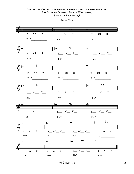*by Matt and Ben Harloff*

Tuning Chart

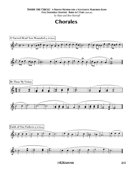#### *Inside the Circle: A Proven Method for a Successful Marching Band*

*Full Ensemble Chapter: Horn in F Part (2nd ed.)*

*by Matt and Ben Harloff*

## **Chorales**